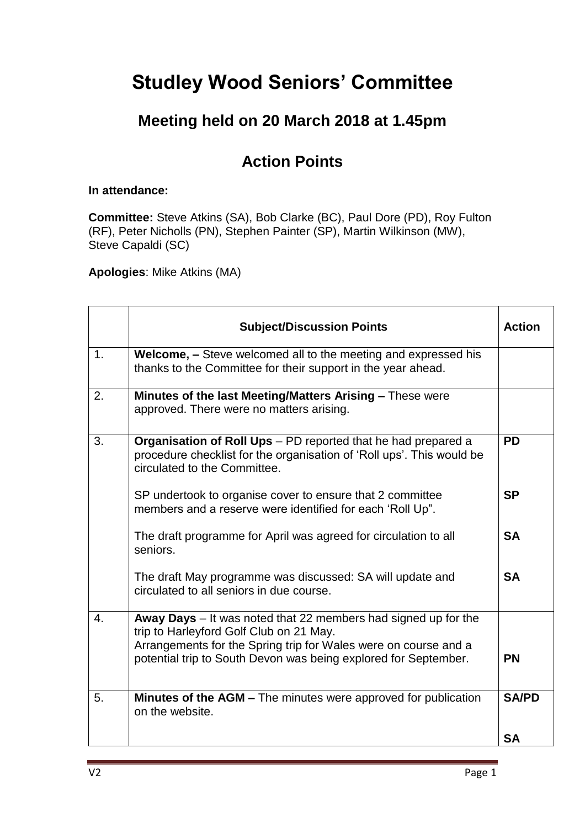## **Studley Wood Seniors' Committee**

## **Meeting held on 20 March 2018 at 1.45pm**

## **Action Points**

## **In attendance:**

**Committee:** Steve Atkins (SA), Bob Clarke (BC), Paul Dore (PD), Roy Fulton (RF), Peter Nicholls (PN), Stephen Painter (SP), Martin Wilkinson (MW), Steve Capaldi (SC)

**Apologies**: Mike Atkins (MA)

|    | <b>Subject/Discussion Points</b>                                                                                                                                              | <b>Action</b> |
|----|-------------------------------------------------------------------------------------------------------------------------------------------------------------------------------|---------------|
| 1. | <b>Welcome, –</b> Steve welcomed all to the meeting and expressed his<br>thanks to the Committee for their support in the year ahead.                                         |               |
| 2. | Minutes of the last Meeting/Matters Arising – These were<br>approved. There were no matters arising.                                                                          |               |
| 3. | <b>Organisation of Roll Ups</b> – PD reported that he had prepared a<br>procedure checklist for the organisation of 'Roll ups'. This would be<br>circulated to the Committee. | <b>PD</b>     |
|    | SP undertook to organise cover to ensure that 2 committee<br>members and a reserve were identified for each 'Roll Up".                                                        | <b>SP</b>     |
|    | The draft programme for April was agreed for circulation to all<br>seniors.                                                                                                   | <b>SA</b>     |
|    | The draft May programme was discussed: SA will update and<br>circulated to all seniors in due course.                                                                         | <b>SA</b>     |
| 4. | Away Days - It was noted that 22 members had signed up for the<br>trip to Harleyford Golf Club on 21 May.<br>Arrangements for the Spring trip for Wales were on course and a  |               |
|    | potential trip to South Devon was being explored for September.                                                                                                               | <b>PN</b>     |
| 5. | <b>Minutes of the AGM – The minutes were approved for publication</b><br>on the website.                                                                                      | <b>SA/PD</b>  |
|    |                                                                                                                                                                               | <b>SA</b>     |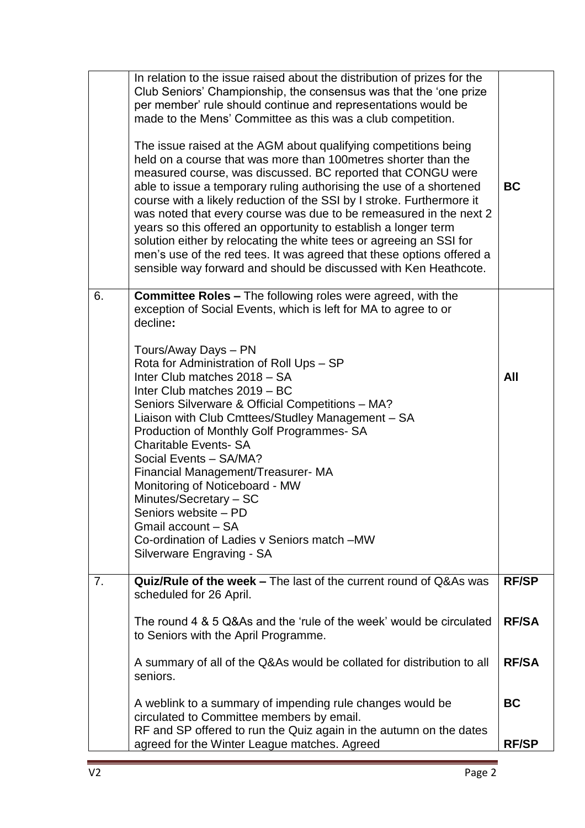|    | In relation to the issue raised about the distribution of prizes for the<br>Club Seniors' Championship, the consensus was that the 'one prize<br>per member' rule should continue and representations would be<br>made to the Mens' Committee as this was a club competition.<br>The issue raised at the AGM about qualifying competitions being<br>held on a course that was more than 100 metres shorter than the<br>measured course, was discussed. BC reported that CONGU were<br>able to issue a temporary ruling authorising the use of a shortened<br>course with a likely reduction of the SSI by I stroke. Furthermore it<br>was noted that every course was due to be remeasured in the next 2<br>years so this offered an opportunity to establish a longer term<br>solution either by relocating the white tees or agreeing an SSI for<br>men's use of the red tees. It was agreed that these options offered a<br>sensible way forward and should be discussed with Ken Heathcote. | <b>BC</b>    |
|----|-------------------------------------------------------------------------------------------------------------------------------------------------------------------------------------------------------------------------------------------------------------------------------------------------------------------------------------------------------------------------------------------------------------------------------------------------------------------------------------------------------------------------------------------------------------------------------------------------------------------------------------------------------------------------------------------------------------------------------------------------------------------------------------------------------------------------------------------------------------------------------------------------------------------------------------------------------------------------------------------------|--------------|
| 6. | <b>Committee Roles - The following roles were agreed, with the</b><br>exception of Social Events, which is left for MA to agree to or<br>decline:<br>Tours/Away Days - PN<br>Rota for Administration of Roll Ups - SP<br>Inter Club matches 2018 - SA<br>Inter Club matches 2019 - BC<br>Seniors Silverware & Official Competitions - MA?<br>Liaison with Club Cmttees/Studley Management - SA                                                                                                                                                                                                                                                                                                                                                                                                                                                                                                                                                                                                  | <b>All</b>   |
|    | Production of Monthly Golf Programmes-SA<br><b>Charitable Events-SA</b><br>Social Events - SA/MA?<br>Financial Management/Treasurer-MA<br>Monitoring of Noticeboard - MW<br>Minutes/Secretary - SC<br>Seniors website - PD<br>Gmail account - SA<br>Co-ordination of Ladies v Seniors match -MW<br>Silverware Engraving - SA                                                                                                                                                                                                                                                                                                                                                                                                                                                                                                                                                                                                                                                                    |              |
| 7. | Quiz/Rule of the week – The last of the current round of Q&As was<br>scheduled for 26 April.                                                                                                                                                                                                                                                                                                                                                                                                                                                                                                                                                                                                                                                                                                                                                                                                                                                                                                    | <b>RF/SP</b> |
|    | The round 4 & 5 Q&As and the 'rule of the week' would be circulated<br>to Seniors with the April Programme.                                                                                                                                                                                                                                                                                                                                                                                                                                                                                                                                                                                                                                                                                                                                                                                                                                                                                     | <b>RF/SA</b> |
|    | A summary of all of the Q&As would be collated for distribution to all<br>seniors.                                                                                                                                                                                                                                                                                                                                                                                                                                                                                                                                                                                                                                                                                                                                                                                                                                                                                                              | <b>RF/SA</b> |
|    | A weblink to a summary of impending rule changes would be<br>circulated to Committee members by email.<br>RF and SP offered to run the Quiz again in the autumn on the dates                                                                                                                                                                                                                                                                                                                                                                                                                                                                                                                                                                                                                                                                                                                                                                                                                    | <b>BC</b>    |
|    | agreed for the Winter League matches. Agreed                                                                                                                                                                                                                                                                                                                                                                                                                                                                                                                                                                                                                                                                                                                                                                                                                                                                                                                                                    | <b>RF/SP</b> |